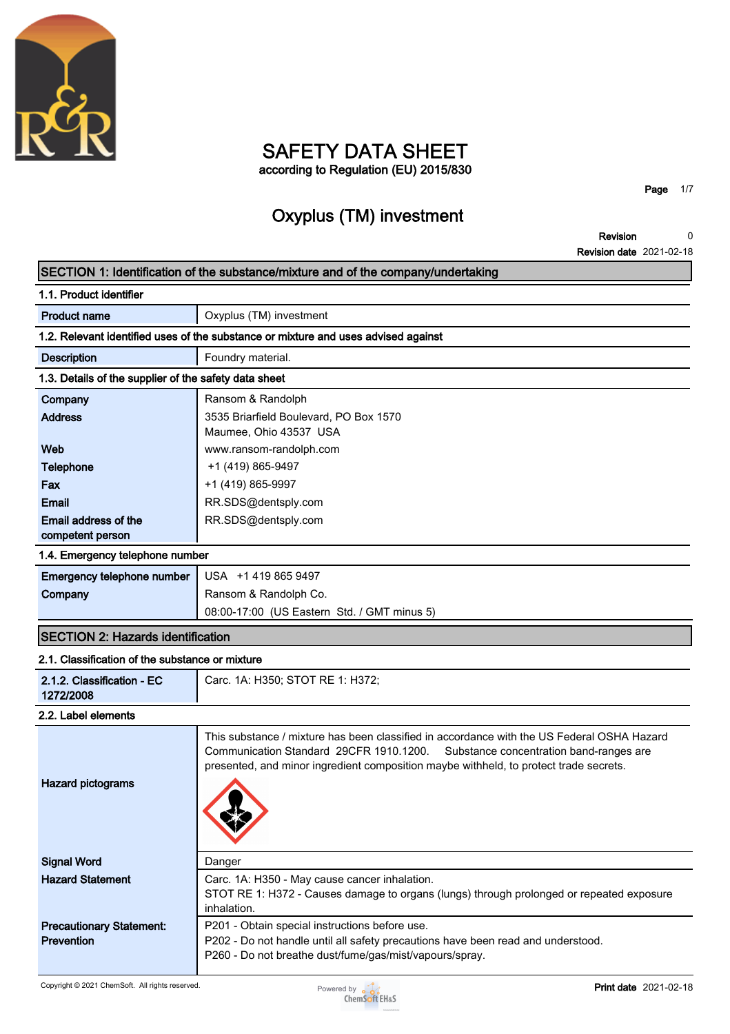

## **SAFETY DATA SHEET according to Regulation (EU) 2015/830**

**Page 1/7**

# **Oxyplus (TM) investment**

**Revision Revision date 2021-02-18 0**

|                                                       | SECTION 1: Identification of the substance/mixture and of the company/undertaking                                                                                                                                                                                         |
|-------------------------------------------------------|---------------------------------------------------------------------------------------------------------------------------------------------------------------------------------------------------------------------------------------------------------------------------|
| 1.1. Product identifier                               |                                                                                                                                                                                                                                                                           |
| <b>Product name</b>                                   | Oxyplus (TM) investment                                                                                                                                                                                                                                                   |
|                                                       | 1.2. Relevant identified uses of the substance or mixture and uses advised against                                                                                                                                                                                        |
| <b>Description</b>                                    | Foundry material.                                                                                                                                                                                                                                                         |
| 1.3. Details of the supplier of the safety data sheet |                                                                                                                                                                                                                                                                           |
| Company                                               | Ransom & Randolph                                                                                                                                                                                                                                                         |
| <b>Address</b>                                        | 3535 Briarfield Boulevard, PO Box 1570<br>Maumee, Ohio 43537 USA                                                                                                                                                                                                          |
| Web                                                   | www.ransom-randolph.com                                                                                                                                                                                                                                                   |
| <b>Telephone</b>                                      | +1 (419) 865-9497                                                                                                                                                                                                                                                         |
| Fax                                                   | +1 (419) 865-9997                                                                                                                                                                                                                                                         |
| Email                                                 | RR.SDS@dentsply.com                                                                                                                                                                                                                                                       |
| Email address of the<br>competent person              | RR.SDS@dentsply.com                                                                                                                                                                                                                                                       |
| 1.4. Emergency telephone number                       |                                                                                                                                                                                                                                                                           |
| <b>Emergency telephone number</b>                     | USA +1 419 865 9497                                                                                                                                                                                                                                                       |
| Company                                               | Ransom & Randolph Co.                                                                                                                                                                                                                                                     |
|                                                       | 08:00-17:00 (US Eastern Std. / GMT minus 5)                                                                                                                                                                                                                               |
| <b>SECTION 2: Hazards identification</b>              |                                                                                                                                                                                                                                                                           |
| 2.1. Classification of the substance or mixture       |                                                                                                                                                                                                                                                                           |
| 2.1.2. Classification - EC<br>1272/2008               | Carc. 1A: H350; STOT RE 1: H372;                                                                                                                                                                                                                                          |
| 2.2. Label elements                                   |                                                                                                                                                                                                                                                                           |
| <b>Hazard pictograms</b>                              | This substance / mixture has been classified in accordance with the US Federal OSHA Hazard<br>Communication Standard 29CFR 1910.1200.<br>Substance concentration band-ranges are<br>presented, and minor ingredient composition maybe withheld, to protect trade secrets. |
| <b>Signal Word</b>                                    | Danger                                                                                                                                                                                                                                                                    |
| <b>Hazard Statement</b>                               | Carc. 1A: H350 - May cause cancer inhalation.                                                                                                                                                                                                                             |
|                                                       | STOT RE 1: H372 - Causes damage to organs (lungs) through prolonged or repeated exposure                                                                                                                                                                                  |
|                                                       | inhalation.                                                                                                                                                                                                                                                               |
| <b>Precautionary Statement:</b><br><b>Prevention</b>  | P201 - Obtain special instructions before use.<br>P202 - Do not handle until all safety precautions have been read and understood.                                                                                                                                        |

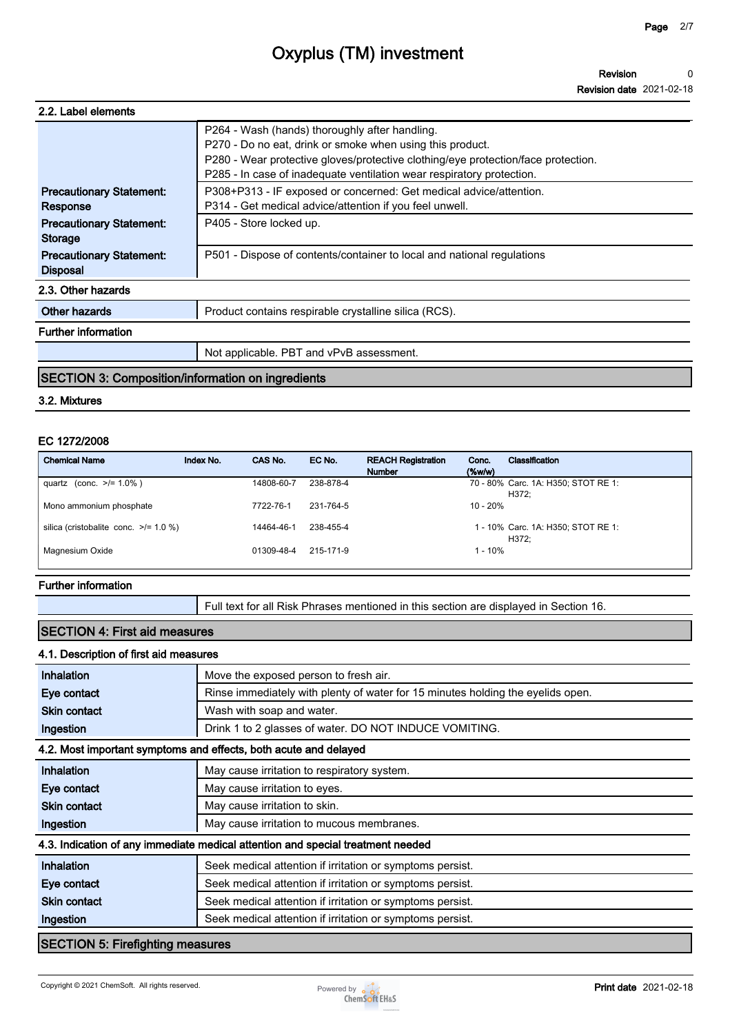| 2.2. Label elements                                |                                                                                                                                                                                                                                                                           |
|----------------------------------------------------|---------------------------------------------------------------------------------------------------------------------------------------------------------------------------------------------------------------------------------------------------------------------------|
|                                                    | P264 - Wash (hands) thoroughly after handling.<br>P270 - Do no eat, drink or smoke when using this product.<br>P280 - Wear protective gloves/protective clothing/eye protection/face protection.<br>P285 - In case of inadequate ventilation wear respiratory protection. |
| <b>Precautionary Statement:</b>                    | P308+P313 - IF exposed or concerned: Get medical advice/attention.                                                                                                                                                                                                        |
| Response                                           | P314 - Get medical advice/attention if you feel unwell.                                                                                                                                                                                                                   |
| <b>Precautionary Statement:</b><br><b>Storage</b>  | P405 - Store locked up.                                                                                                                                                                                                                                                   |
| <b>Precautionary Statement:</b><br><b>Disposal</b> | P501 - Dispose of contents/container to local and national regulations                                                                                                                                                                                                    |
| 2.3. Other hazards                                 |                                                                                                                                                                                                                                                                           |
| Other hazards                                      | Product contains respirable crystalline silica (RCS).                                                                                                                                                                                                                     |
| <b>Further information</b>                         |                                                                                                                                                                                                                                                                           |
|                                                    | Not applicable. PBT and vPvB assessment.                                                                                                                                                                                                                                  |

### **SECTION 3: Composition/information on ingredients**

#### **3.2. Mixtures**

#### **EC 1272/2008**

| <b>Chemical Name</b>                       | Index No. | CAS No.    | EC No.    | <b>REACH Registration</b><br><b>Number</b> | Conc.<br>(% | Classification                               |
|--------------------------------------------|-----------|------------|-----------|--------------------------------------------|-------------|----------------------------------------------|
| quartz (conc. $>1.0\%$ )                   |           | 14808-60-7 | 238-878-4 |                                            |             | 70 - 80% Carc. 1A: H350; STOT RE 1:<br>H372: |
| Mono ammonium phosphate                    |           | 7722-76-1  | 231-764-5 |                                            | $10 - 20%$  |                                              |
| silica (cristobalite conc. $\ge$ /= 1.0 %) |           | 14464-46-1 | 238-455-4 |                                            |             | 1 - 10% Carc. 1A: H350; STOT RE 1:<br>H372:  |
| Magnesium Oxide                            |           | 01309-48-4 | 215-171-9 |                                            | $1 - 10%$   |                                              |

#### **Further information**

**Full text for all Risk Phrases mentioned in this section are displayed in Section 16.**

## **SECTION 4: First aid measures**

#### **4.1. Description of first aid measures**

| Inhalation                              | Move the exposed person to fresh air.                                           |
|-----------------------------------------|---------------------------------------------------------------------------------|
| Eye contact                             | Rinse immediately with plenty of water for 15 minutes holding the eyelids open. |
| <b>Skin contact</b>                     | Wash with soap and water.                                                       |
| Ingestion                               | Drink 1 to 2 glasses of water. DO NOT INDUCE VOMITING.                          |
|                                         | 4.2. Most important symptoms and effects, both acute and delayed                |
| Inhalation                              | May cause irritation to respiratory system.                                     |
| Eye contact                             | May cause irritation to eyes.                                                   |
| <b>Skin contact</b>                     | May cause irritation to skin.                                                   |
| Ingestion                               | May cause irritation to mucous membranes.                                       |
|                                         | 4.3. Indication of any immediate medical attention and special treatment needed |
| Inhalation                              | Seek medical attention if irritation or symptoms persist.                       |
| Eye contact                             | Seek medical attention if irritation or symptoms persist.                       |
| <b>Skin contact</b>                     | Seek medical attention if irritation or symptoms persist.                       |
| Ingestion                               | Seek medical attention if irritation or symptoms persist.                       |
| <b>SECTION 5: Firefighting measures</b> |                                                                                 |

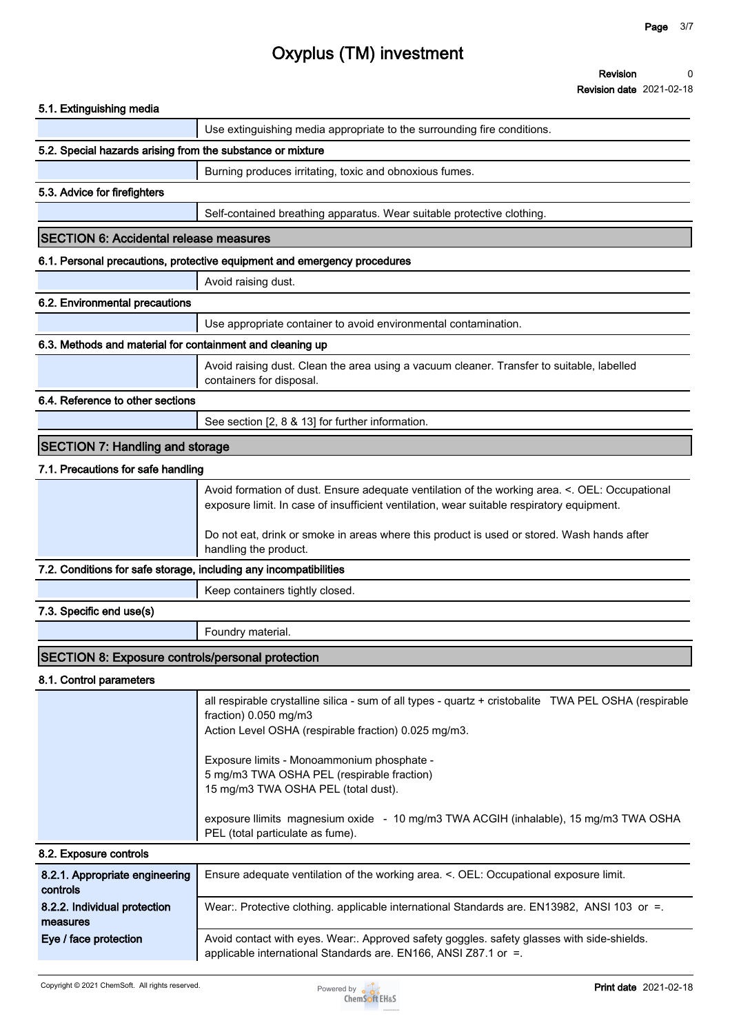**Revision Revision date 2021-02-18 0**

| 5.1. Extinguishing media                                          |                                                                                                                                                                                                                                      |
|-------------------------------------------------------------------|--------------------------------------------------------------------------------------------------------------------------------------------------------------------------------------------------------------------------------------|
|                                                                   | Use extinguishing media appropriate to the surrounding fire conditions.                                                                                                                                                              |
| 5.2. Special hazards arising from the substance or mixture        |                                                                                                                                                                                                                                      |
|                                                                   | Burning produces irritating, toxic and obnoxious fumes.                                                                                                                                                                              |
| 5.3. Advice for firefighters                                      |                                                                                                                                                                                                                                      |
|                                                                   | Self-contained breathing apparatus. Wear suitable protective clothing.                                                                                                                                                               |
| <b>SECTION 6: Accidental release measures</b>                     |                                                                                                                                                                                                                                      |
|                                                                   | 6.1. Personal precautions, protective equipment and emergency procedures                                                                                                                                                             |
|                                                                   | Avoid raising dust.                                                                                                                                                                                                                  |
| 6.2. Environmental precautions                                    |                                                                                                                                                                                                                                      |
|                                                                   | Use appropriate container to avoid environmental contamination.                                                                                                                                                                      |
| 6.3. Methods and material for containment and cleaning up         |                                                                                                                                                                                                                                      |
|                                                                   | Avoid raising dust. Clean the area using a vacuum cleaner. Transfer to suitable, labelled<br>containers for disposal.                                                                                                                |
| 6.4. Reference to other sections                                  |                                                                                                                                                                                                                                      |
|                                                                   | See section [2, 8 & 13] for further information.                                                                                                                                                                                     |
| <b>SECTION 7: Handling and storage</b>                            |                                                                                                                                                                                                                                      |
| 7.1. Precautions for safe handling                                |                                                                                                                                                                                                                                      |
|                                                                   | Avoid formation of dust. Ensure adequate ventilation of the working area. <. OEL: Occupational<br>exposure limit. In case of insufficient ventilation, wear suitable respiratory equipment.                                          |
|                                                                   | Do not eat, drink or smoke in areas where this product is used or stored. Wash hands after<br>handling the product.                                                                                                                  |
| 7.2. Conditions for safe storage, including any incompatibilities |                                                                                                                                                                                                                                      |
|                                                                   | Keep containers tightly closed.                                                                                                                                                                                                      |
| 7.3. Specific end use(s)                                          |                                                                                                                                                                                                                                      |
|                                                                   | Foundry material.                                                                                                                                                                                                                    |
| <b>SECTION 8: Exposure controls/personal protection</b>           |                                                                                                                                                                                                                                      |
| 8.1. Control parameters                                           |                                                                                                                                                                                                                                      |
|                                                                   | all respirable crystalline silica - sum of all types - quartz + cristobalite TWA PEL OSHA (respirable<br>fraction) 0.050 mg/m3<br>Action Level OSHA (respirable fraction) 0.025 mg/m3.<br>Exposure limits - Monoammonium phosphate - |
|                                                                   | 5 mg/m3 TWA OSHA PEL (respirable fraction)<br>15 mg/m3 TWA OSHA PEL (total dust).                                                                                                                                                    |
|                                                                   | exposure llimits magnesium oxide - 10 mg/m3 TWA ACGIH (inhalable), 15 mg/m3 TWA OSHA<br>PEL (total particulate as fume).                                                                                                             |
| 8.2. Exposure controls                                            |                                                                                                                                                                                                                                      |
| 8.2.1. Appropriate engineering                                    | Ensure adequate ventilation of the working area. <. OEL: Occupational exposure limit.                                                                                                                                                |
| controls                                                          |                                                                                                                                                                                                                                      |
| 8.2.2. Individual protection<br>measures                          | Wear:. Protective clothing. applicable international Standards are. EN13982, ANSI 103 or =.                                                                                                                                          |

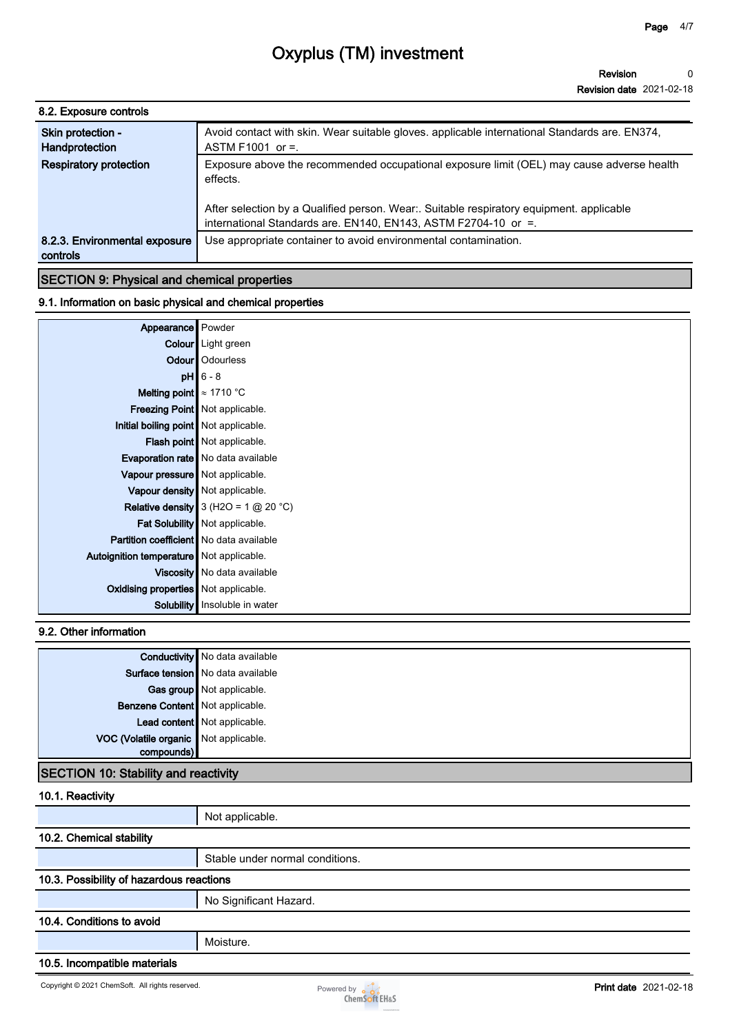| 8.2. Exposure controls                    |                                                                                                                                                                                                                                                                    |
|-------------------------------------------|--------------------------------------------------------------------------------------------------------------------------------------------------------------------------------------------------------------------------------------------------------------------|
| Skin protection -<br>Handprotection       | Avoid contact with skin. Wear suitable gloves. applicable international Standards are. EN374,<br>ASTM F1001 or $=$ .                                                                                                                                               |
| <b>Respiratory protection</b>             | Exposure above the recommended occupational exposure limit (OEL) may cause adverse health<br>effects.<br>After selection by a Qualified person. Wear: Suitable respiratory equipment. applicable<br>international Standards are. EN140, EN143, ASTM F2704-10 or =. |
| 8.2.3. Environmental exposure<br>controls | Use appropriate container to avoid environmental contamination.                                                                                                                                                                                                    |

# **9.1. Information on basic physical and chemical properties**

| Appearance Powder                              |                                           |
|------------------------------------------------|-------------------------------------------|
|                                                | Colour Light green                        |
|                                                | <b>Odour</b>   Odourless                  |
|                                                | $pH$ 6 - 8                                |
| Melting point $\approx 1710$ °C                |                                           |
|                                                | Freezing Point   Not applicable.          |
| Initial boiling point   Not applicable.        |                                           |
|                                                | Flash point   Not applicable.             |
|                                                | <b>Evaporation rate</b> No data available |
| Vapour pressure   Not applicable.              |                                           |
|                                                | Vapour density   Not applicable.          |
|                                                | Relative density $3$ (H2O = 1 $@$ 20 °C)  |
|                                                | Fat Solubility   Not applicable.          |
| <b>Partition coefficient</b> No data available |                                           |
| Autoignition temperature Not applicable.       |                                           |
|                                                | Viscosity   No data available             |
| <b>Oxidising properties</b> Not applicable.    |                                           |
|                                                | Solubility   Insoluble in water           |

## **9.2. Other information**

|                                       | <b>Conductivity</b> No data available |
|---------------------------------------|---------------------------------------|
|                                       | Surface tension   No data available   |
|                                       | Gas group Not applicable.             |
| Benzene Content Not applicable.       |                                       |
|                                       | Lead content Not applicable.          |
| VOC (Volatile organic Not applicable. |                                       |
|                                       |                                       |

## **SECTION 10: Stability and reactivity**

| 10.1. Reactivity                         |                                 |
|------------------------------------------|---------------------------------|
|                                          | Not applicable.                 |
| 10.2. Chemical stability                 |                                 |
|                                          | Stable under normal conditions. |
| 10.3. Possibility of hazardous reactions |                                 |
|                                          | No Significant Hazard.          |
| 10.4. Conditions to avoid                |                                 |
|                                          | Moisture.                       |
| AAF Leeses Alti-second-la                |                                 |

#### **10.5. Incompatible materials**

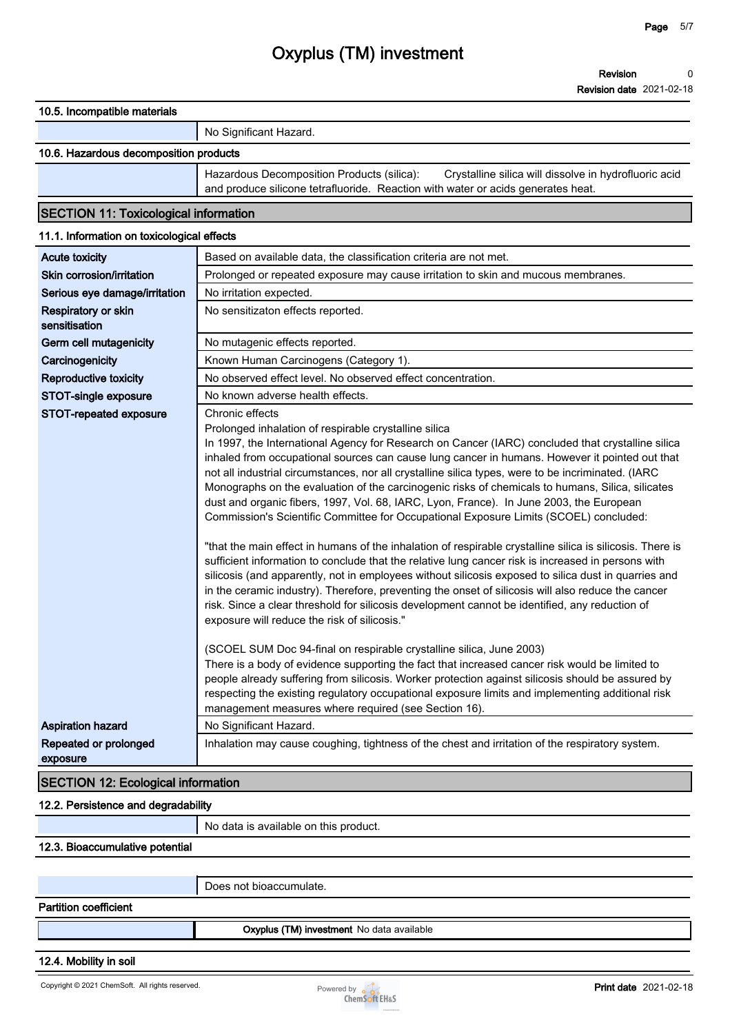| 10.5. Incompatible materials |
|------------------------------|
|------------------------------|

#### **No Significant Hazard.**

## **10.6. Hazardous decomposition products**

**Hazardous Decomposition Products (silica): Crystalline silica will dissolve in hydrofluoric acid and produce silicone tetrafluoride. Reaction with water or acids generates heat.**

## **SECTION 11: Toxicological information**

| 11.1. Information on toxicological effects |                                                                                                                                                                                                                                                                                                                                                                                                                                                                                                                                                                                                                                                                                                                                                                                                                                                                                                                                                                                                                                                                                                                                                                                                                                                                  |
|--------------------------------------------|------------------------------------------------------------------------------------------------------------------------------------------------------------------------------------------------------------------------------------------------------------------------------------------------------------------------------------------------------------------------------------------------------------------------------------------------------------------------------------------------------------------------------------------------------------------------------------------------------------------------------------------------------------------------------------------------------------------------------------------------------------------------------------------------------------------------------------------------------------------------------------------------------------------------------------------------------------------------------------------------------------------------------------------------------------------------------------------------------------------------------------------------------------------------------------------------------------------------------------------------------------------|
| <b>Acute toxicity</b>                      | Based on available data, the classification criteria are not met.                                                                                                                                                                                                                                                                                                                                                                                                                                                                                                                                                                                                                                                                                                                                                                                                                                                                                                                                                                                                                                                                                                                                                                                                |
| Skin corrosion/irritation                  | Prolonged or repeated exposure may cause irritation to skin and mucous membranes.                                                                                                                                                                                                                                                                                                                                                                                                                                                                                                                                                                                                                                                                                                                                                                                                                                                                                                                                                                                                                                                                                                                                                                                |
| Serious eye damage/irritation              | No irritation expected.                                                                                                                                                                                                                                                                                                                                                                                                                                                                                                                                                                                                                                                                                                                                                                                                                                                                                                                                                                                                                                                                                                                                                                                                                                          |
| Respiratory or skin<br>sensitisation       | No sensitizaton effects reported.                                                                                                                                                                                                                                                                                                                                                                                                                                                                                                                                                                                                                                                                                                                                                                                                                                                                                                                                                                                                                                                                                                                                                                                                                                |
| Germ cell mutagenicity                     | No mutagenic effects reported.                                                                                                                                                                                                                                                                                                                                                                                                                                                                                                                                                                                                                                                                                                                                                                                                                                                                                                                                                                                                                                                                                                                                                                                                                                   |
| Carcinogenicity                            | Known Human Carcinogens (Category 1).                                                                                                                                                                                                                                                                                                                                                                                                                                                                                                                                                                                                                                                                                                                                                                                                                                                                                                                                                                                                                                                                                                                                                                                                                            |
| <b>Reproductive toxicity</b>               | No observed effect level. No observed effect concentration.                                                                                                                                                                                                                                                                                                                                                                                                                                                                                                                                                                                                                                                                                                                                                                                                                                                                                                                                                                                                                                                                                                                                                                                                      |
| STOT-single exposure                       | No known adverse health effects.                                                                                                                                                                                                                                                                                                                                                                                                                                                                                                                                                                                                                                                                                                                                                                                                                                                                                                                                                                                                                                                                                                                                                                                                                                 |
| STOT-repeated exposure                     | Chronic effects<br>Prolonged inhalation of respirable crystalline silica<br>In 1997, the International Agency for Research on Cancer (IARC) concluded that crystalline silica<br>inhaled from occupational sources can cause lung cancer in humans. However it pointed out that<br>not all industrial circumstances, nor all crystalline silica types, were to be incriminated. (IARC<br>Monographs on the evaluation of the carcinogenic risks of chemicals to humans, Silica, silicates<br>dust and organic fibers, 1997, Vol. 68, IARC, Lyon, France). In June 2003, the European<br>Commission's Scientific Committee for Occupational Exposure Limits (SCOEL) concluded:<br>"that the main effect in humans of the inhalation of respirable crystalline silica is silicosis. There is<br>sufficient information to conclude that the relative lung cancer risk is increased in persons with<br>silicosis (and apparently, not in employees without silicosis exposed to silica dust in quarries and<br>in the ceramic industry). Therefore, preventing the onset of silicosis will also reduce the cancer<br>risk. Since a clear threshold for silicosis development cannot be identified, any reduction of<br>exposure will reduce the risk of silicosis." |
|                                            | (SCOEL SUM Doc 94-final on respirable crystalline silica, June 2003)<br>There is a body of evidence supporting the fact that increased cancer risk would be limited to<br>people already suffering from silicosis. Worker protection against silicosis should be assured by<br>respecting the existing regulatory occupational exposure limits and implementing additional risk<br>management measures where required (see Section 16).                                                                                                                                                                                                                                                                                                                                                                                                                                                                                                                                                                                                                                                                                                                                                                                                                          |
| <b>Aspiration hazard</b>                   | No Significant Hazard.                                                                                                                                                                                                                                                                                                                                                                                                                                                                                                                                                                                                                                                                                                                                                                                                                                                                                                                                                                                                                                                                                                                                                                                                                                           |
| Repeated or prolonged<br>exposure          | Inhalation may cause coughing, tightness of the chest and irritation of the respiratory system.                                                                                                                                                                                                                                                                                                                                                                                                                                                                                                                                                                                                                                                                                                                                                                                                                                                                                                                                                                                                                                                                                                                                                                  |
| <b>SECTION 12: Ecological information</b>  |                                                                                                                                                                                                                                                                                                                                                                                                                                                                                                                                                                                                                                                                                                                                                                                                                                                                                                                                                                                                                                                                                                                                                                                                                                                                  |
|                                            |                                                                                                                                                                                                                                                                                                                                                                                                                                                                                                                                                                                                                                                                                                                                                                                                                                                                                                                                                                                                                                                                                                                                                                                                                                                                  |

## **12.2. Persistence and degradability**

**No data is available on this product.**

### **12.3. Bioaccumulative potential**

**Does not bioaccumulate.**

### **Partition coefficient**

**Oxyplus (TM) investment No data available**

#### **12.4. Mobility in soil**

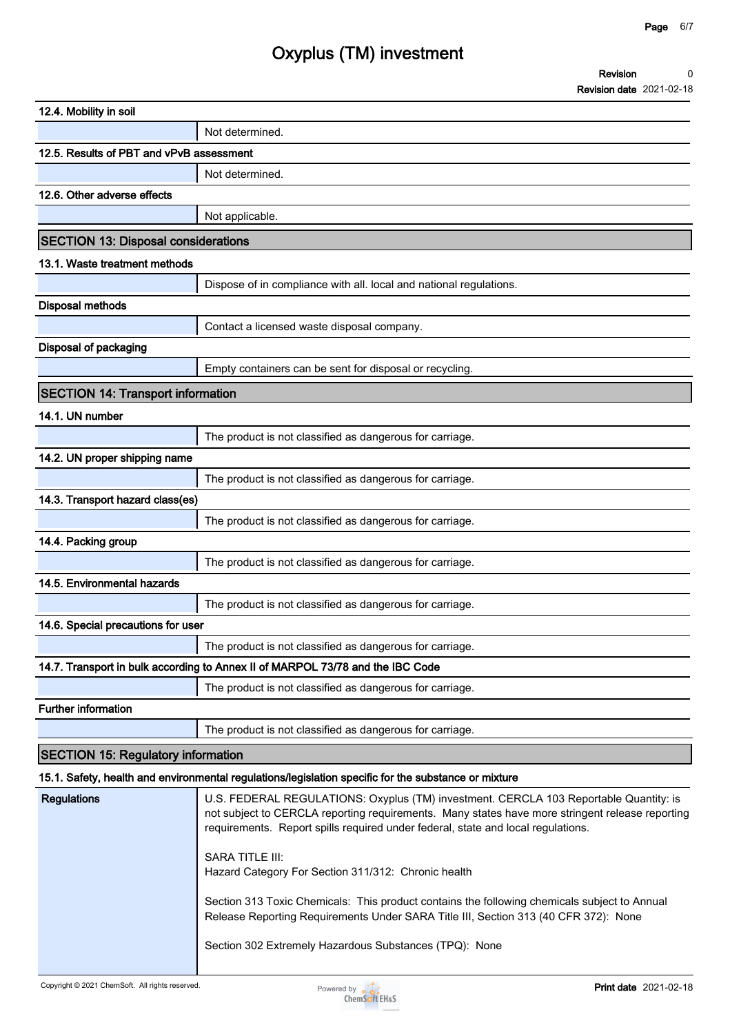| <b>Revision</b>                      |  |
|--------------------------------------|--|
| $D_n$ detains detail $0.024, 0.0140$ |  |

|                                            | <b>Revision date</b> 2021-02-18                                                                                                                                                                                                                                              |
|--------------------------------------------|------------------------------------------------------------------------------------------------------------------------------------------------------------------------------------------------------------------------------------------------------------------------------|
| 12.4. Mobility in soil                     |                                                                                                                                                                                                                                                                              |
|                                            | Not determined.                                                                                                                                                                                                                                                              |
| 12.5. Results of PBT and vPvB assessment   |                                                                                                                                                                                                                                                                              |
|                                            | Not determined.                                                                                                                                                                                                                                                              |
| 12.6. Other adverse effects                |                                                                                                                                                                                                                                                                              |
|                                            | Not applicable.                                                                                                                                                                                                                                                              |
| <b>SECTION 13: Disposal considerations</b> |                                                                                                                                                                                                                                                                              |
| 13.1. Waste treatment methods              |                                                                                                                                                                                                                                                                              |
|                                            | Dispose of in compliance with all. local and national regulations.                                                                                                                                                                                                           |
| <b>Disposal methods</b>                    |                                                                                                                                                                                                                                                                              |
|                                            | Contact a licensed waste disposal company.                                                                                                                                                                                                                                   |
| Disposal of packaging                      |                                                                                                                                                                                                                                                                              |
|                                            | Empty containers can be sent for disposal or recycling.                                                                                                                                                                                                                      |
| <b>SECTION 14: Transport information</b>   |                                                                                                                                                                                                                                                                              |
| 14.1. UN number                            |                                                                                                                                                                                                                                                                              |
|                                            | The product is not classified as dangerous for carriage.                                                                                                                                                                                                                     |
| 14.2. UN proper shipping name              |                                                                                                                                                                                                                                                                              |
|                                            | The product is not classified as dangerous for carriage.                                                                                                                                                                                                                     |
| 14.3. Transport hazard class(es)           |                                                                                                                                                                                                                                                                              |
|                                            | The product is not classified as dangerous for carriage.                                                                                                                                                                                                                     |
| 14.4. Packing group                        |                                                                                                                                                                                                                                                                              |
|                                            | The product is not classified as dangerous for carriage.                                                                                                                                                                                                                     |
| 14.5. Environmental hazards                |                                                                                                                                                                                                                                                                              |
|                                            | The product is not classified as dangerous for carriage.                                                                                                                                                                                                                     |
| 14.6. Special precautions for user         |                                                                                                                                                                                                                                                                              |
|                                            | The product is not classified as dangerous for carriage.                                                                                                                                                                                                                     |
|                                            | 14.7. Transport in bulk according to Annex II of MARPOL 73/78 and the IBC Code                                                                                                                                                                                               |
|                                            | The product is not classified as dangerous for carriage.                                                                                                                                                                                                                     |
| <b>Further information</b>                 |                                                                                                                                                                                                                                                                              |
|                                            | The product is not classified as dangerous for carriage.                                                                                                                                                                                                                     |
|                                            |                                                                                                                                                                                                                                                                              |
| <b>SECTION 15: Regulatory information</b>  |                                                                                                                                                                                                                                                                              |
|                                            | 15.1. Safety, health and environmental regulations/legislation specific for the substance or mixture                                                                                                                                                                         |
| <b>Regulations</b>                         | U.S. FEDERAL REGULATIONS: Oxyplus (TM) investment. CERCLA 103 Reportable Quantity: is<br>not subject to CERCLA reporting requirements. Many states have more stringent release reporting<br>requirements. Report spills required under federal, state and local regulations. |
|                                            | <b>SARA TITLE III:</b><br>Hazard Category For Section 311/312: Chronic health                                                                                                                                                                                                |
|                                            | Section 313 Toxic Chemicals: This product contains the following chemicals subject to Annual<br>Release Reporting Requirements Under SARA Title III, Section 313 (40 CFR 372): None                                                                                          |
|                                            | Section 302 Extremely Hazardous Substances (TPQ): None                                                                                                                                                                                                                       |